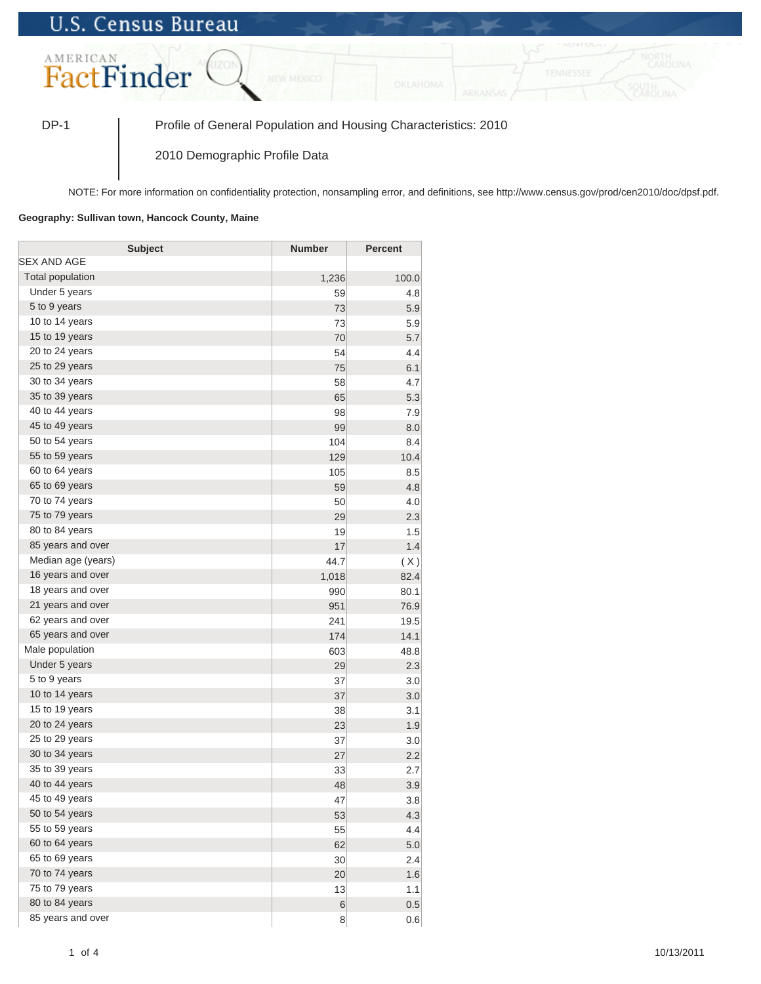## **U.S. Census Bureau**



DP-1 Profile of General Population and Housing Characteristics: 2010

2010 Demographic Profile Data

NOTE: For more information on confidentiality protection, nonsampling error, and definitions, see http://www.census.gov/prod/cen2010/doc/dpsf.pdf.

## **Geography: Sullivan town, Hancock County, Maine**

| <b>Subject</b>     | <b>Number</b> | <b>Percent</b> |
|--------------------|---------------|----------------|
| SEX AND AGE        |               |                |
| Total population   | 1,236         | 100.0          |
| Under 5 years      | 59            | 4.8            |
| 5 to 9 years       | 73            | 5.9            |
| 10 to 14 years     | 73            | 5.9            |
| 15 to 19 years     | 70            | 5.7            |
| 20 to 24 years     | 54            | 4.4            |
| 25 to 29 years     | 75            | 6.1            |
| 30 to 34 years     | 58            | 4.7            |
| 35 to 39 years     | 65            | 5.3            |
| 40 to 44 years     | 98            | 7.9            |
| 45 to 49 years     | 99            | 8.0            |
| 50 to 54 years     | 104           | 8.4            |
| 55 to 59 years     | 129           | 10.4           |
| 60 to 64 years     | 105           | 8.5            |
| 65 to 69 years     | 59            | 4.8            |
| 70 to 74 years     | 50            | 4.0            |
| 75 to 79 years     | 29            | 2.3            |
| 80 to 84 years     | 19            | 1.5            |
| 85 years and over  | 17            | 1.4            |
| Median age (years) | 44.7          | (X)            |
| 16 years and over  | 1,018         | 82.4           |
| 18 years and over  | 990           | 80.1           |
| 21 years and over  | 951           | 76.9           |
| 62 years and over  | 241           | 19.5           |
| 65 years and over  | 174           | 14.1           |
| Male population    | 603           | 48.8           |
| Under 5 years      | 29            | 2.3            |
| 5 to 9 years       | 37            | 3.0            |
| 10 to 14 years     | 37            | 3.0            |
| 15 to 19 years     | 38            | 3.1            |
| 20 to 24 years     | 23            | 1.9            |
| 25 to 29 years     | 37            | 3.0            |
| 30 to 34 years     | 27            | 2.2            |
| 35 to 39 years     | 33            | 2.7            |
| 40 to 44 years     | 48            | 3.9            |
| 45 to 49 years     | 47            | 3.8            |
| 50 to 54 years     | 53            | 4.3            |
| 55 to 59 years     | 55            | 4.4            |
| 60 to 64 years     | 62            | 5.0            |
| 65 to 69 years     | 30            | 2.4            |
| 70 to 74 years     | 20            | 1.6            |
| 75 to 79 years     | 13            | 1.1            |
| 80 to 84 years     | $\,$ 6 $\,$   | 0.5            |
| 85 years and over  | 8             | 0.6            |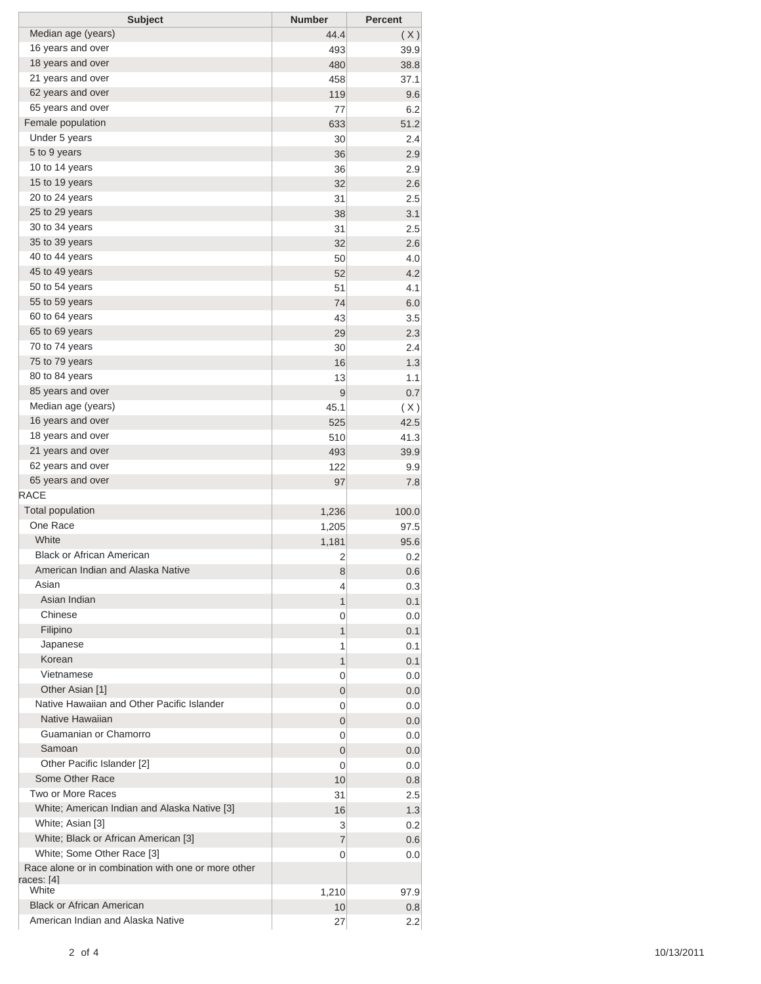| <b>Subject</b>                                      | <b>Number</b> | <b>Percent</b> |
|-----------------------------------------------------|---------------|----------------|
| Median age (years)                                  | 44.4          | (X)            |
| 16 years and over                                   | 493           | 39.9           |
| 18 years and over                                   | 480           | 38.8           |
| 21 years and over                                   | 458           | 37.1           |
| 62 years and over                                   | 119           | 9.6            |
| 65 years and over                                   | 77            | 6.2            |
| Female population                                   | 633           | 51.2           |
| Under 5 years                                       | 30            | 2.4            |
| 5 to 9 years                                        | 36            | 2.9            |
| 10 to 14 years                                      | 36            | 2.9            |
| 15 to 19 years                                      | 32            | 2.6            |
| 20 to 24 years                                      | 31            | 2.5            |
| 25 to 29 years                                      | 38            | 3.1            |
| 30 to 34 years                                      | 31            | 2.5            |
| 35 to 39 years                                      | 32            | 2.6            |
| 40 to 44 years                                      | 50            | 4.0            |
| 45 to 49 years                                      | 52            | 4.2            |
| 50 to 54 years                                      | 51            | 4.1            |
| 55 to 59 years                                      | 74            | 6.0            |
| 60 to 64 years                                      | 43            | 3.5            |
| 65 to 69 years                                      | 29            | 2.3            |
| 70 to 74 years                                      | 30            | 2.4            |
| 75 to 79 years                                      | 16            | 1.3            |
| 80 to 84 years                                      | 13            | 1.1            |
| 85 years and over                                   | 9             | 0.7            |
| Median age (years)                                  | 45.1          | (X)            |
| 16 years and over                                   | 525           | 42.5           |
| 18 years and over                                   | 510           | 41.3           |
| 21 years and over                                   | 493           | 39.9           |
| 62 years and over                                   | 122           | 9.9            |
| 65 years and over                                   | 97            | 7.8            |
| <b>RACE</b>                                         |               |                |
| <b>Total population</b>                             | 1,236         | 100.0          |
| One Race                                            | 1,205         | 97.5           |
| White                                               | 1,181         | 95.6           |
| <b>Black or African American</b>                    | 2             | 0.2            |
| American Indian and Alaska Native                   | 8             | 0.6            |
| Asian                                               | 4             | 0.3            |
| Asian Indian                                        | 1             | 0.1            |
| Chinese                                             | 0             | 0.0            |
| Filipino                                            | 1             | 0.1            |
| Japanese                                            | 1             | 0.1            |
| Korean                                              | 1             | 0.1            |
| Vietnamese                                          | 0             | 0.0            |
| Other Asian [1]                                     | 0             | 0.0            |
| Native Hawaiian and Other Pacific Islander          | 0             | 0.0            |
| Native Hawaiian                                     | 0             | 0.0            |
| Guamanian or Chamorro                               | 0             | 0.0            |
| Samoan                                              | 0             | 0.0            |
| Other Pacific Islander [2]                          | 0             | 0.0            |
| Some Other Race                                     | 10            | 0.8            |
| Two or More Races                                   | 31            | 2.5            |
| White; American Indian and Alaska Native [3]        | 16            | 1.3            |
| White; Asian [3]                                    | 3             | 0.2            |
| White; Black or African American [3]                | 7             | 0.6            |
| White; Some Other Race [3]                          | 0             | 0.0            |
| Race alone or in combination with one or more other |               |                |
| races: [4]                                          |               |                |
| White                                               | 1,210         | 97.9           |
| <b>Black or African American</b>                    | 10            | 0.8            |
| American Indian and Alaska Native                   | 27            | 2.2            |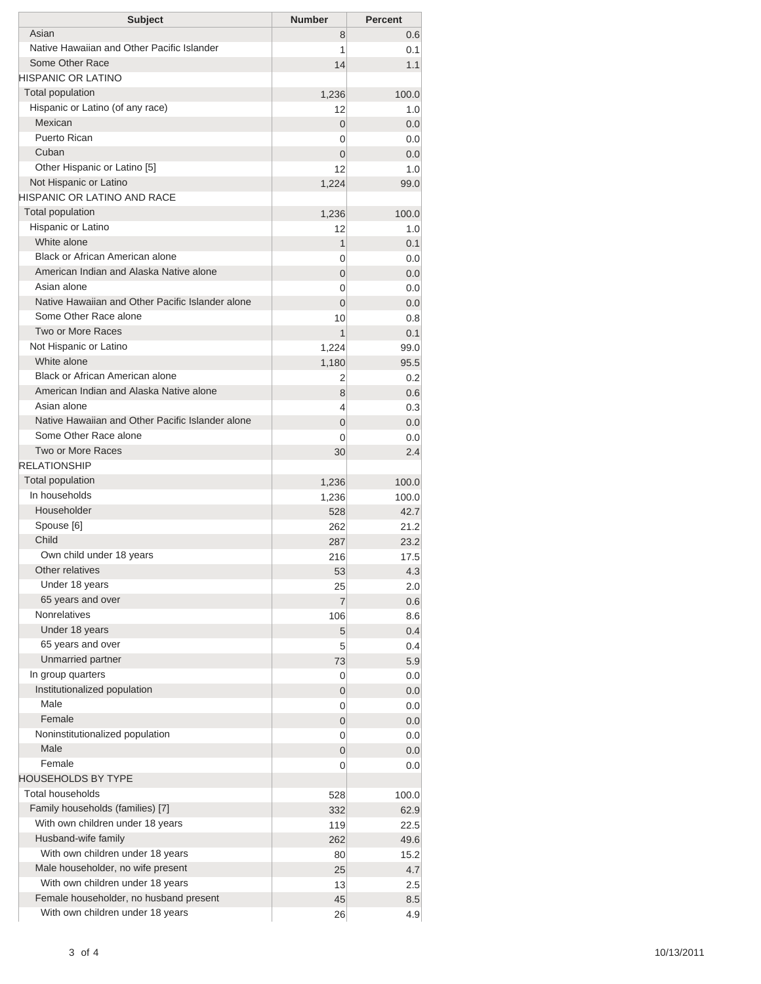| <b>Subject</b>                                   | <b>Number</b>  | <b>Percent</b> |
|--------------------------------------------------|----------------|----------------|
| Asian                                            | 8              | 0.6            |
| Native Hawaiian and Other Pacific Islander       | 1              | 0.1            |
| Some Other Race                                  | 14             | 1.1            |
| <b>HISPANIC OR LATINO</b>                        |                |                |
| <b>Total population</b>                          | 1,236          | 100.0          |
| Hispanic or Latino (of any race)                 | 12             | 1.0            |
| Mexican                                          | $\Omega$       | 0.0            |
| Puerto Rican                                     | 0              | 0.0            |
| Cuban                                            | $\Omega$       | 0.0            |
| Other Hispanic or Latino [5]                     | 12             | 1.0            |
| Not Hispanic or Latino                           | 1,224          | 99.0           |
| <b>HISPANIC OR LATINO AND RACE</b>               |                |                |
| <b>Total population</b>                          | 1,236          | 100.0          |
| Hispanic or Latino                               | 12             | 1.0            |
| White alone                                      | 1              | 0.1            |
| Black or African American alone                  | 0              | 0.0            |
| American Indian and Alaska Native alone          | $\Omega$       | 0.0            |
| Asian alone                                      | 0              | 0.0            |
| Native Hawaiian and Other Pacific Islander alone | $\Omega$       | 0.0            |
| Some Other Race alone                            | 10             | 0.8            |
| Two or More Races                                | 1              | 0.1            |
| Not Hispanic or Latino                           | 1,224          | 99.0           |
| White alone                                      | 1,180          | 95.5           |
| Black or African American alone                  | 2              | 0.2            |
| American Indian and Alaska Native alone          | 8              | 0.6            |
| Asian alone                                      | 4              | 0.3            |
| Native Hawaiian and Other Pacific Islander alone | $\Omega$       | 0.0            |
| Some Other Race alone                            | 0              | 0.0            |
| Two or More Races                                | 30             | 2.4            |
| <b>RELATIONSHIP</b>                              |                |                |
| Total population                                 | 1,236          | 100.0          |
| In households                                    | 1,236          | 100.0          |
| Householder                                      | 528            | 42.7           |
| Spouse [6]                                       | 262            | 21.2           |
| Child                                            | 287            | 23.2           |
| Own child under 18 years                         | 216            | 17.5           |
| Other relatives                                  | 53             | 4.3            |
| Under 18 years                                   | 25             | 2.0            |
| 65 years and over                                | $\overline{7}$ | 0.6            |
| <b>Nonrelatives</b>                              | 106            | 8.6            |
| Under 18 years                                   | 5 <sup>5</sup> | 0.4            |
| 65 years and over                                | 5              | 0.4            |
| Unmarried partner                                | 73             | 5.9            |
| In group quarters                                | 0              | 0.0            |
| Institutionalized population                     | 0              | 0.0            |
| Male                                             | 0              | 0.0            |
| Female                                           | 0              | 0.0            |
| Noninstitutionalized population                  | 0              | 0.0            |
| Male                                             | 0              | 0.0            |
| Female                                           | 0              |                |
| <b>HOUSEHOLDS BY TYPE</b>                        |                | 0.0            |
| Total households                                 |                |                |
| Family households (families) [7]                 | 528            | 100.0          |
| With own children under 18 years                 | 332            | 62.9           |
| Husband-wife family                              | 119            | 22.5           |
|                                                  | 262            | 49.6           |
| With own children under 18 years                 | 80             | 15.2           |
| Male householder, no wife present                | 25             | 4.7            |
| With own children under 18 years                 | 13             | 2.5            |
| Female householder, no husband present           | 45             | 8.5            |
| With own children under 18 years                 | 26             | 4.9            |